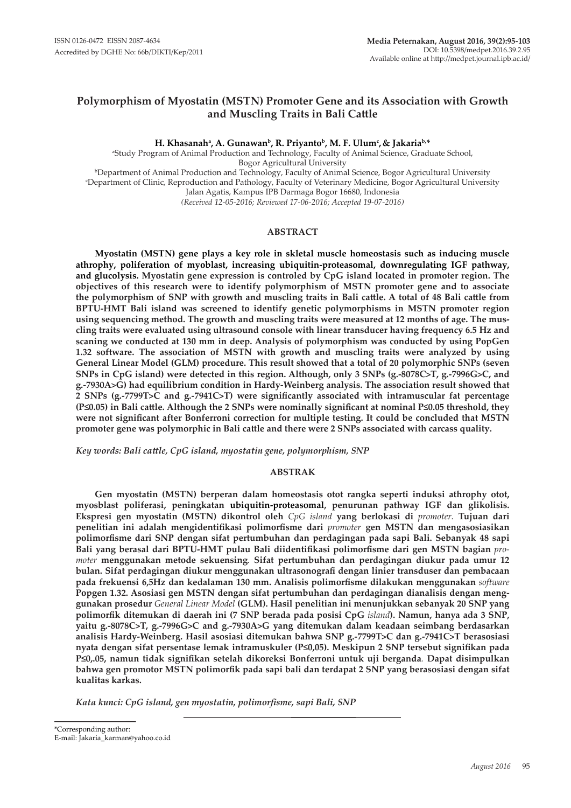## **Polymorphism of Myostatin (MSTN) Promoter Gene and its Association with Growth and Muscling Traits in Bali Cattle**

**H. Khasanaha , A. Gunawanb, R. Priyantob, M. F. Ulumc , & Jakariab,\***

a Study Program of Animal Production and Technology, Faculty of Animal Science, Graduate School, Bogor Agricultural University <sup>b</sup>Department of Animal Production and Technology, Faculty of Animal Science, Bogor Agricultural University<br>Department of Clinic Reproduction and Pathology, Faculty of Veterinary Medicine, Bogor Agricultural University Department of Clinic, Reproduction and Pathology, Faculty of Veterinary Medicine, Bogor Agricultural University Jalan Agatis, Kampus IPB Darmaga Bogor 16680, Indonesia *(Received 12-05-2016; Reviewed 17-06-2016; Accepted 19-07-2016)*

## **ABSTRACT**

**Myostatin (MSTN) gene plays a key role in skletal muscle homeostasis such as inducing muscle athrophy, poliferation of myoblast, increasing ubiquitin-proteasomal, downregulating IGF pathway, and glucolysis. Myostatin gene expression is controled by CpG island located in promoter region. The objectives of this research were to identify polymorphism of MSTN promoter gene and to associate the polymorphism of SNP with growth and muscling traits in Bali cattle. A total of 48 Bali cattle from BPTU-HMT Bali island was screened to identify genetic polymorphisms in MSTN promoter region using sequencing method. The growth and muscling traits were measured at 12 months of age. The muscling traits were evaluated using ultrasound console with linear transducer having frequency 6.5 Hz and scaning we conducted at 130 mm in deep. Analysis of polymorphism was conducted by using PopGen 1.32 software. The association of MSTN with growth and muscling traits were analyzed by using General Linear Model (GLM) procedure. This result showed that a total of 20 polymorphic SNPs (seven SNPs in CpG island) were detected in this region. Although, only 3 SNPs (g.-8078C>T, g.-7996G>C, and g.-7930A>G) had equilibrium condition in Hardy-Weinberg analysis. The association result showed that 2 SNPs (g.-7799T>C and g.-7941C>T) were significantly associated with intramuscular fat percentage (P≤0.05) in Bali cattle. Although the 2 SNPs were nominally significant at nominal P≤0.05 threshold, they were not significant after Bonferroni correction for multiple testing. It could be concluded that MSTN promoter gene was polymorphic in Bali cattle and there were 2 SNPs associated with carcass quality.**

*Key words: Bali cattle, CpG island, myostatin gene, polymorphism, SNP*

## **ABSTRAK**

**Gen myostatin (MSTN) berperan dalam homeostasis otot rangka seperti induksi athrophy otot, myosblast poliferasi, peningkatan ubiquitin-proteasomal, penurunan pathway IGF dan glikolisis. Ekspresi gen myostatin (MSTN) dikontrol oleh** *CpG island* **yang berlokasi di** *promoter.* **Tujuan dari penelitian ini adalah mengidentifikasi polimorfisme dari** *promoter* **gen MSTN dan mengasosiasikan polimorfisme dari SNP dengan sifat pertumbuhan dan perdagingan pada sapi Bali. Sebanyak 48 sapi Bali yang berasal dari BPTU-HMT pulau Bali diidentifikasi polimorfisme dari gen MSTN bagian** *promoter* **menggunakan metode sekuensing***.* **Sifat pertumbuhan dan perdagingan diukur pada umur 12 bulan. Sifat perdagingan diukur menggunakan ultrasonografi dengan linier transduser dan pembacaan pada frekuensi 6,5Hz dan kedalaman 130 mm. Analisis polimorfisme dilakukan menggunakan** *software*  **Popgen 1.32. Asosiasi gen MSTN dengan sifat pertumbuhan dan perdagingan dianalisis dengan menggunakan prosedur** *General Linear Model* **(GLM). Hasil penelitian ini menunjukkan sebanyak 20 SNP yang polimorfik ditemukan di daerah ini (7 SNP berada pada posisi CpG** *island***). Namun, hanya ada 3 SNP, yaitu g.-8078C>T, g.-7996G>C and g.-7930A>G yang ditemukan dalam keadaan seimbang berdasarkan analisis Hardy-Weinberg. Hasil asosiasi ditemukan bahwa SNP g.-7799T>C dan g.-7941C>T berasosiasi nyata dengan sifat persentase lemak intramuskuler (P≤0,05). Meskipun 2 SNP tersebut signifikan pada P≤0,.05, namun tidak signifikan setelah dikoreksi Bonferroni untuk uji berganda***.* **Dapat disimpulkan bahwa gen promotor MSTN polimorfik pada sapi bali dan terdapat 2 SNP yang berasosiasi dengan sifat kualitas karkas.**

*Kata kunci: CpG island, gen myostatin, polimorfisme, sapi Bali, SNP*

\*Corresponding author: E-mail: Jakaria\_karman@yahoo.co.id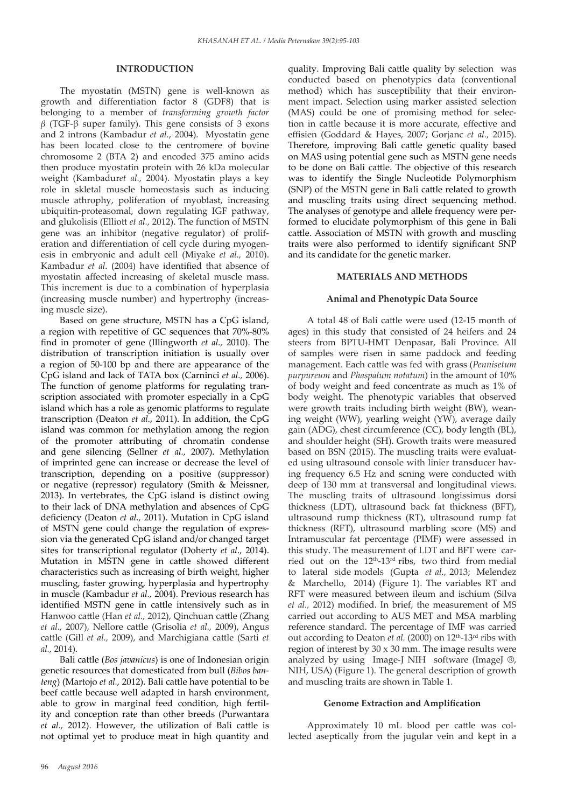## **INTRODUCTION**

The myostatin (MSTN) gene is well-known as growth and differentiation factor 8 (GDF8) that is belonging to a member of *transforming growth factor β* (TGF-β super family). This gene consists of 3 exons and 2 introns (Kambadur *et al.*, 2004). Myostatin gene has been located close to the centromere of bovine chromosome 2 (BTA 2) and encoded 375 amino acids then produce myostatin protein with 26 kDa molecular weight (Kambadur*et al.,* 2004). Myostatin plays a key role in skletal muscle homeostasis such as inducing muscle athrophy, poliferation of myoblast, increasing ubiquitin-proteasomal, down regulating IGF pathway, and glukolisis (Elliott *et al.,* 2012). The function of MSTN gene was an inhibitor (negative regulator) of proliferation and differentiation of cell cycle during myogenesis in embryonic and adult cell (Miyake *et al.,* 2010). Kambadur *et al.* (2004) have identified that absence of myostatin affected increasing of skeletal muscle mass. This increment is due to a combination of hyperplasia (increasing muscle number) and hypertrophy (increasing muscle size).

Based on gene structure, MSTN has a CpG island, a region with repetitive of GC sequences that 70%-80% find in promoter of gene (Illingworth *et al.,* 2010). The distribution of transcription initiation is usually over a region of 50-100 bp and there are appearance of the CpG island and lack of TATA box (Carninci *et al.,* 2006). The function of genome platforms for regulating transcription associated with promoter especially in a CpG island which has a role as genomic platforms to regulate transcription (Deaton *et al.,* 2011). In addition, the CpG island was common for methylation among the region of the promoter attributing of chromatin condense and gene silencing (Sellner *et al.,* 2007). Methylation of imprinted gene can increase or decrease the level of transcription, depending on a positive (suppressor) or negative (repressor) regulatory (Smith & Meissner, 2013). In vertebrates, the CpG island is distinct owing to their lack of DNA methylation and absences of CpG deficiency (Deaton *et al.,* 2011). Mutation in CpG island of MSTN gene could change the regulation of expression via the generated CpG island and/or changed target sites for transcriptional regulator (Doherty *et al*., 2014). Mutation in MSTN gene in cattle showed different characteristics such as increasing of birth weight, higher muscling, faster growing, hyperplasia and hypertrophy in muscle (Kambadur *et al.,* 2004). Previous research has identified MSTN gene in cattle intensively such as in Hanwoo cattle (Han *et al.,* 2012), Qinchuan cattle (Zhang *et al.,* 2007), Nellore cattle (Grisolia *et al.,* 2009), Angus cattle (Gill *et al.,* 2009), and Marchigiana cattle (Sarti *et al.,* 2014).

Bali cattle (*Bos javanicus*) is one of Indonesian origin genetic resources that domesticated from bull (*Bibos banteng*) (Martojo *et al.,* 2012). Bali cattle have potential to be beef cattle because well adapted in harsh environment, able to grow in marginal feed condition, high fertility and conception rate than other breeds (Purwantara *et al.,* 2012). However, the utilization of Bali cattle is not optimal yet to produce meat in high quantity and

quality. Improving Bali cattle quality by selection was conducted based on phenotypics data (conventional method) which has susceptibility that their environment impact. Selection using marker assisted selection (MAS) could be one of promising method for selection in cattle because it is more accurate, effective and effisien (Goddard & Hayes, 2007; Gorjanc *et al.,* 2015). Therefore, improving Bali cattle genetic quality based on MAS using potential gene such as MSTN gene needs to be done on Bali cattle. The objective of this research was to identify the Single Nucleotide Polymorphism (SNP) of the MSTN gene in Bali cattle related to growth and muscling traits using direct sequencing method. The analyses of genotype and allele frequency were performed to elucidate polymorphism of this gene in Bali cattle. Association of MSTN with growth and muscling traits were also performed to identify significant SNP and its candidate for the genetic marker.

#### **MATERIALS AND METHODS**

## **Animal and Phenotypic Data Source**

A total 48 of Bali cattle were used (12-15 month of ages) in this study that consisted of 24 heifers and 24 steers from BPTU-HMT Denpasar, Bali Province. All of samples were risen in same paddock and feeding management. Each cattle was fed with grass (*Pennisetum purpureum* and *Phaspalum notatum*) in the amount of 10% of body weight and feed concentrate as much as 1% of body weight. The phenotypic variables that observed were growth traits including birth weight (BW), weaning weight (WW), yearling weight (YW), average daily gain (ADG), chest circumference (CC), body length (BL), and shoulder height (SH). Growth traits were measured based on BSN (2015). The muscling traits were evaluated using ultrasound console with linier transducer having frequency 6.5 Hz and scning were conducted with deep of 130 mm at transversal and longitudinal views. The muscling traits of ultrasound longissimus dorsi thickness (LDT), ultrasound back fat thickness (BFT), ultrasound rump thickness (RT), ultrasound rump fat thickness (RFT), ultrasound marbling score (MS) and Intramuscular fat percentage (PIMF) were assessed in this study. The measurement of LDT and BFT were carried out on the 12<sup>th</sup>-13<sup>rd</sup> ribs, two third from medial to lateral side models (Gupta *et al.,* 2013; Melendez & Marchello, 2014) (Figure 1). The variables RT and RFT were measured between ileum and ischium (Silva *et al.,* 2012) modified. In brief, the measurement of MS carried out according to AUS MET and MSA marbling reference standard. The percentage of IMF was carried out according to Deaton *et al.* (2000) on 12<sup>th</sup>-13<sup>rd</sup> ribs with region of interest by  $30 \times 30$  mm. The image results were analyzed by using Image-J NIH software (ImageJ ®, NIH, USA) (Figure 1). The general description of growth and muscling traits are shown in Table 1.

#### **Genome Extraction and Amplification**

Approximately 10 mL blood per cattle was collected aseptically from the jugular vein and kept in a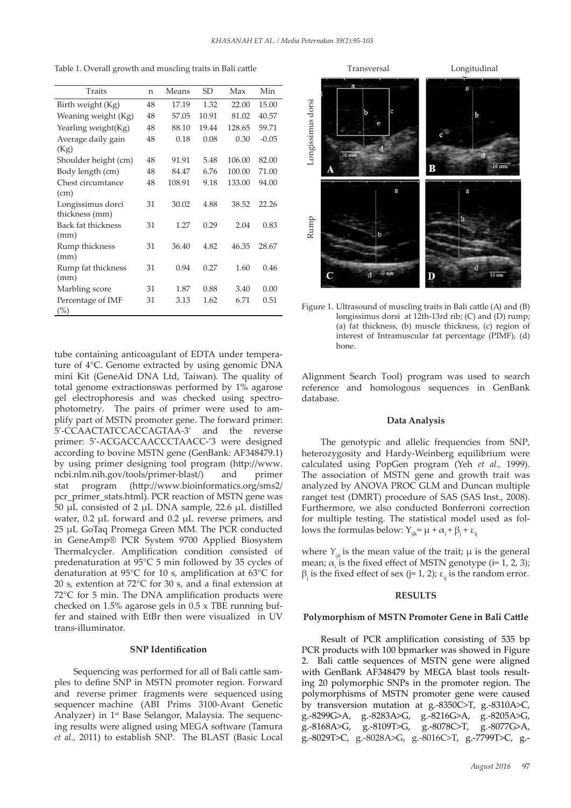Table 1. Overall growth and muscling traits in Bali cattle

| Traits                       | n  | Means  | SD    | Max    | Min     |
|------------------------------|----|--------|-------|--------|---------|
| Birth weight (Kg)            | 48 | 17.19  | 1.32  | 22.00  | 15.00   |
| Weaning weight (Kg)          | 48 | 57.05  | 10.91 | 81.02  | 40.57   |
| Yearling weight(Kg)          | 48 | 88.10  | 19.44 | 128.65 | 59.71   |
| Average daily gain<br>(Kg)   | 48 | 0.18   | 0.08  | 0.30   | $-0.05$ |
| Shoulder height (cm)         | 48 | 91.91  | 5.48  | 106.00 | 82.00   |
| Body length (cm)             | 48 | 84.47  | 6.76  | 100.00 | 71.00   |
| Chest circumtance            | 48 | 108.91 | 9.18  | 133.00 | 94.00   |
| (cm)                         |    |        |       |        |         |
| Longissimus dorci            | 31 | 30.02  | 4.88  | 38.52  | 22.26   |
| thickness (mm)               |    |        |       |        |         |
| Back fat thickness           | 31 | 1.27   | 0.29  | 2.04   | 0.83    |
| (mm)                         |    |        |       |        |         |
| Rump thickness<br>(mm)       | 31 | 36.40  | 4.82  | 46.35  | 28.67   |
| Rump fat thickness<br>(mm)   | 31 | 0.94   | 0.27  | 1.60   | 0.46    |
| Marbling score               | 31 | 1.87   | 0.88  | 3.40   | 0.00    |
| Percentage of IMF<br>$(\% )$ | 31 | 3.13   | 1.62  | 6.71   | 0.51    |

tube containing anticoagulant of EDTA under temperature of  $4^{\circ}$ C. Genome extracted by using genomic DNA mini Kit (GeneAid DNA Ltd, Taiwan). The quality of total genome extractionswas performed by 1% agarose gel electrophoresis and was checked using spectrophotometry. The pairs of primer were used to amplify part of MSTN promoter gene. The forward primer: 5'-CCAACTATCCACCAGTAA-3' and the reverse primer: 5'-ACGACCAACCCTAACC-'3 were designed according to bovine MSTN gene (GenBank: AF348479.1) by using primer designing tool program (http://www. ncbi.nlm.nih.gov/tools/primer-blast/) and primer stat program (http://www.bioinformatics.org/sms2/ pcr\_primer\_stats.html). PCR reaction of MSTN gene was 50 µL consisted of 2 µL DNA sample, 22.6 µL distilled water, 0.2 µL forward and 0.2 µL reverse primers, and 25 µL GoTaq Promega Green MM. The PCR conducted in GeneAmp® PCR System 9700 Applied Biosystem Thermalcycler. Amplification condition consisted of predenaturation at 95°C 5 min followed by 35 cycles of denaturation at 95°C for 10 s, amplification at 63°C for 20 s, extention at  $72^{\circ}$ C for 30 s, and a final extension at 72°C for 5 min. The DNA amplification products were checked on 1.5% agarose gels in  $0.5 \times \text{TBE}$  running buffer and stained with EtBr then were visualized in UV trans-illuminator.

# **SNP Identification** 405

Sequencing was performed for all of Bali cattle samples to define SNP in MSTN promoter region. Forward and reverse primer fragments were sequenced using sequencer machine (ABI Prims 3100-Avant Genetic Analyzer) in 1st Base Selangor, Malaysia. The sequencing results were aligned using MEGA software (Tamura *et al.,* 2011) to establish SNP. The BLAST (Basic Local



Figure 1. Ultrasound of muscling traits in Bali cattle (A) and (B)<br>approximate the state of the state of the C and (D) runn: longissimus dorsi at 12th-13rd rib; (C) and (D) rump; (a) fat thickness, (b) muscle thickness, (c) region of interest of Intramuscular fat percentage (PIMF), (d) bone.

Alignment Search Tool) program was used to search reference and homologous sequences in GenBank database.

#### **Data Analysis**

The genotypic and allelic frequencies from SNP, heterozygosity and Hardy-Weinberg equilibrium were calculated using PopGen program (Yeh *et al.,* 1999). The association of MSTN gene and growth trait was analyzed by ANOVA PROC GLM and Duncan multiple ranget test (DMRT) procedure of SAS (SAS Inst., 2008). Furthermore, we also conducted Bonferroni correction for multiple testing. The statistical model used as follows the formulas below:  $Y_{ijk} = \mu + \alpha_i + \beta_i + \varepsilon_{ijk}$ 

where  $Y_{ik}$  is the mean value of the trait;  $\mu$  is the general mean;  $\alpha_i$  is the fixed effect of MSTN genotype (i= 1, 2, 3);  $β<sub>j</sub>$  is the fixed effect of sex (j= 1, 2);  $ε<sub>ij</sub>$  is the random error.

#### **RESULTS**

#### **Polymorphism of MSTN Promoter Gene in Bali Cattle**

Result of PCR amplification consisting of 535 bp PCR products with 100 bpmarker was showed in Figure Bali cattle sequences of MSTN gene were aligned with GenBank AF348479 by MEGA blast tools resulting 20 polymorphic SNPs in the promoter region. The polymorphisms of MSTN promoter gene were caused by transversion mutation at g.-8350C>T, g.-8310A>C, g.-8299G>A, g.-8283A>G, g.-8216G>A, g.-8205A>G, g.-8168A>G, g.-8109T>G, g.-8078C>T, g.-8077G>A, g.-8029T>C, g.-8028A>G, g.-8016C>T, g.-7799T>C, g.-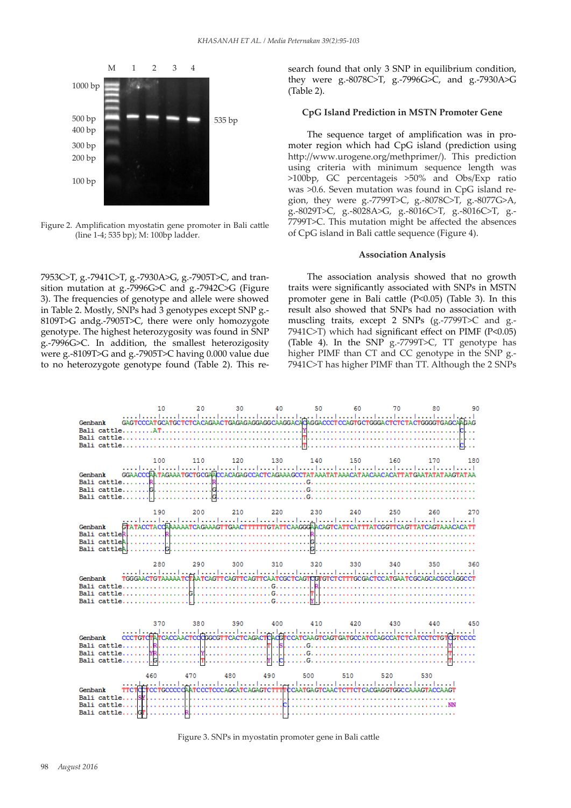

Figure 2. Amplification myostatin gene promoter in Bali cattle  $\frac{(19912)}{100}$ (line 1-4; 535 bp); M: 100bp ladder.

7953C>T, g.-7941C>T, g.-7930A>G, g.-7905T>C, and transition mutation at g.-7996G>C and g.-7942C>G (Figure 3). The frequencies of genotype and allele were showed in Table 2. Mostly, SNPs had 3 genotypes except SNP g.- 8109T>G andg.-7905T>C, there were only homozygote genotype. The highest heterozygosity was found in SNP g.-7996G>C. In addition, the smallest heterozigosity were g.-8109T>G and g.-7905T>C having 0.000 value due to no heterozygote genotype found (Table 2). This research found that only 3 SNP in equilibrium condition, they were g.-8078C>T, g.-7996G>C, and g.-7930A>G (Table 2).

## **CpG Island Prediction in MSTN Promoter Gene**

The sequence target of amplification was in promoter region which had CpG island (prediction using http://www.urogene.org/methprimer/). This prediction using criteria with minimum sequence length was >100bp, GC percentageis >50% and Obs/Exp ratio was >0.6. Seven mutation was found in CpG island region, they were g.-7799T>C, g.-8078C>T, g.-8077G>A, g.-8029T>C, g.-8028A>G, g.-8016C>T, g.-8016C>T, g.- 7799T>C. This mutation might be affected the absences of CpG island in Bali cattle sequence (Figure 4).

#### **Association Analysis**

The association analysis showed that no growth traits were significantly associated with SNPs in MSTN promoter gene in Bali cattle (P<0.05) (Table 3). In this result also showed that SNPs had no association with muscling traits, except 2 SNPs (g.-7799T>C and g.-  $7941C> T$ ) which had significant effect on PIMF (P<0.05) (Table 4). In the SNP g.-7799T>C, TT genotype has higher PIMF than CT and CC genotype in the SNP g.- 7941C>T has higher PIMF than TT. Although the 2 SNPs



Figure 3. SNPs in myostatin promoter gene in Bali cattle 407 Figure. 3 SNPs in myostatin promoter gene in Bali cattle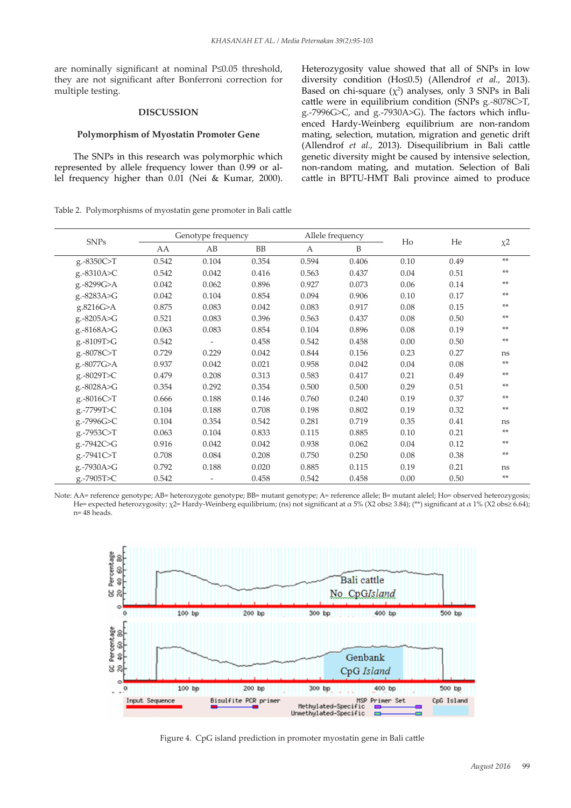are nominally significant at nominal P≤0.05 threshold, they are not significant after Bonferroni correction for multiple testing.

## **DISCUSSION**

#### **Polymorphism of Myostatin Promoter Gene**

The SNPs in this research was polymorphic which represented by allele frequency lower than 0.99 or allel frequency higher than 0.01 (Nei & Kumar, 2000). Heterozygosity value showed that all of SNPs in low diversity condition (Ho≤0.5) (Allendrof *et al.,* 2013). Based on chi-square  $(\chi^2)$  analyses, only 3 SNPs in Bali cattle were in equilibrium condition (SNPs g.-8078C>T, g.-7996G>C, and g.-7930A>G). The factors which influenced Hardy-Weinberg equilibrium are non-random mating, selection, mutation, migration and genetic drift (Allendrof *et al.,* 2013). Disequilibrium in Bali cattle genetic diversity might be caused by intensive selection, non-random mating, and mutation. Selection of Bali cattle in BPTU-HMT Bali province aimed to produce

Table 2. Polymorphisms of myostatin gene promoter in Bali cattle

|             | Genotype frequency |       |           | Allele frequency |       |       |      |                     |
|-------------|--------------------|-------|-----------|------------------|-------|-------|------|---------------------|
| <b>SNPs</b> | AA                 | AB    | <b>BB</b> | A                | B     | $H_0$ | He   | $\chi$ <sup>2</sup> |
| g.-8350C>T  | 0.542              | 0.104 | 0.354     | 0.594            | 0.406 | 0.10  | 0.49 | **                  |
| g.-8310A>C  | 0.542              | 0.042 | 0.416     | 0.563            | 0.437 | 0.04  | 0.51 | **                  |
| g.-8299G>A  | 0.042              | 0.062 | 0.896     | 0.927            | 0.073 | 0.06  | 0.14 | **                  |
| g.-8283A>G  | 0.042              | 0.104 | 0.854     | 0.094            | 0.906 | 0.10  | 0.17 | **                  |
| g.8216G>A   | 0.875              | 0.083 | 0.042     | 0.083            | 0.917 | 0.08  | 0.15 | **                  |
| g.-8205A>G  | 0.521              | 0.083 | 0.396     | 0.563            | 0.437 | 0.08  | 0.50 | **                  |
| g.-8168A>G  | 0.063              | 0.083 | 0.854     | 0.104            | 0.896 | 0.08  | 0.19 | **                  |
| g.-8109T>G  | 0.542              |       | 0.458     | 0.542            | 0.458 | 0.00  | 0.50 | **                  |
| g.-8078C>T  | 0.729              | 0.229 | 0.042     | 0.844            | 0.156 | 0.23  | 0.27 | ns                  |
| g.-8077G>A  | 0.937              | 0.042 | 0.021     | 0.958            | 0.042 | 0.04  | 0.08 | $**$                |
| g.-8029T>C  | 0.479              | 0.208 | 0.313     | 0.583            | 0.417 | 0.21  | 0.49 | **                  |
| g.-8028A>G  | 0.354              | 0.292 | 0.354     | 0.500            | 0.500 | 0.29  | 0.51 | **                  |
| g.-8016C>T  | 0.666              | 0.188 | 0.146     | 0.760            | 0.240 | 0.19  | 0.37 | **                  |
| g.-7799T>C  | 0.104              | 0.188 | 0.708     | 0.198            | 0.802 | 0.19  | 0.32 | **                  |
| g.-7996G>C  | 0.104              | 0.354 | 0.542     | 0.281            | 0.719 | 0.35  | 0.41 | ns                  |
| g.-7953C>T  | 0.063              | 0.104 | 0.833     | 0.115            | 0.885 | 0.10  | 0.21 | $**$                |
| g.-7942C>G  | 0.916              | 0.042 | 0.042     | 0.938            | 0.062 | 0.04  | 0.12 | **                  |
| g.-7941C>T  | 0.708              | 0.084 | 0.208     | 0.750            | 0.250 | 0.08  | 0.38 | $\ast\ast$          |
| g.-7930A>G  | 0.792              | 0.188 | 0.020     | 0.885            | 0.115 | 0.19  | 0.21 | ns                  |
| g.-7905T>C  | 0.542              |       | 0.458     | 0.542            | 0.458 | 0.00  | 0.50 | **                  |

Note: AA= reference genotype; AB= heterozygote genotype; BB= mutant genotype; A= reference allele; B= mutant alelel; Ho= observed heterozygosis; He= expected heterozygosity; χ2= Hardy-Weinberg equilibrium; (ns) not significant at α 5% (X2 obs≥ 3.84); (\*\*) significant at α 1% (X2 obs≥ 6.64); n= 48 heads.



Figure 4. CpG island prediction in promoter myostatin gene in Bali cattle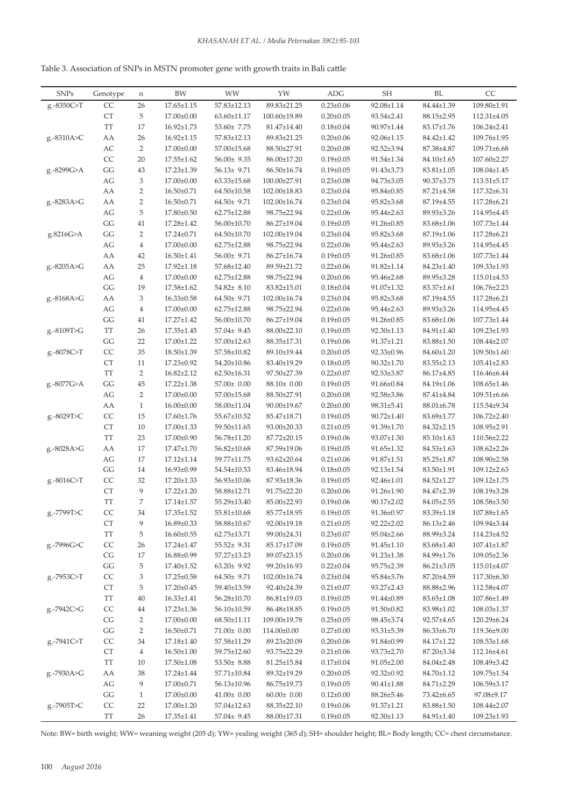| Table 3. Association of SNPs in MSTN promoter gene with growth traits in Bali cattle |
|--------------------------------------------------------------------------------------|
|                                                                                      |

| <b>SNPs</b> | Genotype               | n              | <b>BW</b>        | WW                | YW               | <b>ADG</b>      | SH               | BL               | CC                |
|-------------|------------------------|----------------|------------------|-------------------|------------------|-----------------|------------------|------------------|-------------------|
| g.-8350C>T  | $\mathsf{CC}$          | $26\,$         | $17.65 \pm 1.15$ | $57.83 \pm 12.13$ | 89.83±21.25      | $0.23 \pm 0.06$ | 92.08±1.14       | 84.44±1.39       | 109.80±1.91       |
|             | ${\cal C}{\cal T}$     | 5              | 17.00±0.00       | 63.60±11.17       | 100.60±19.89     | $0.20 \pm 0.05$ | 93.54±2.41       | 88.15±2.95       | 112.31±4.05       |
|             | $\operatorname{TT}$    | 17             | $16.92 \pm 1.73$ | 53.60± 7.75       | 81.47±14.40      | $0.18 \pm 0.04$ | 90.97±1.44       | 83.17±1.76       | 106.24±2.41       |
| g.-8310A>C  | AA                     | 26             | $16.92{\pm}1.15$ | 57.83±12.13       | 89.83±21.25      | $0.20 \pm 0.06$ | 92.06±1.15       | 84.42±1.42       | 109.76±1.95       |
|             | $\mathbb{A}\mathbb{C}$ | $\overline{2}$ | $17.00 \pm 0.00$ | 57.00±15.68       | 88.50±27.91      | $0.20 \pm 0.08$ | 92.52±3.94       | 87.38±4.87       | $109.71 \pm 6.68$ |
|             | CC                     | 20             | $17.55 \pm 1.62$ | $56.00 \pm 9.35$  | 86.00±17.20      | $0.19 \pm 0.05$ | 91.54±1.34       | $84.10 \pm 1.65$ | 107.60±2.27       |
| g.-8299G>A  | GG                     | 43             | 17.23±1.39       | $56.13 \pm 9.71$  | 86.50±16.74      | $0.19 \pm 0.05$ | 91.43±3.73       | $83.81 \pm 1.05$ | 108.04±1.45       |
|             | $\mathbb{A}\mathbb{G}$ | 3              | 17.00±0.00       | $63.33 \pm 15.68$ | 100.00±27.91     | $0.23 \pm 0.08$ | 94.73±3.05       | 90.37±3.75       | 113.51±5.17       |
|             | AA                     | $\overline{2}$ | $16.50 \pm 0.71$ | 64.50±10.58       | 102.00±18.83     | $0.23 \pm 0.04$ | 95.84±0.85       | 87.21±4.58       | 117.32±6.31       |
| g.-8283A>G  | ${\rm AA}$             | $\sqrt{2}$     | $16.50 \pm 0.71$ | $64.50 \pm 9.71$  | 102.00±16.74     | $0.23 \pm 0.04$ | 95.82±3.68       | 87.19±4.55       | 117.28±6.21       |
|             | AG                     | 5              | 17.80±0.50       | 62.75±12.88       | 98.75±22.94      | $0.22 \pm 0.06$ | 95.44±2.63       | 89.93±3.26       | 114.95±4.45       |
|             | GG                     | $41\,$         | 17.28±1.42       | 56.00±10.70       | 86.27±19.04      | $0.19 \pm 0.05$ | 91.26±0.85       | 83.68±1.06       | 107.73±1.44       |
|             |                        |                |                  |                   |                  |                 |                  |                  |                   |
| g.8216G>A   | $\mathbf{G}\mathbf{G}$ | $\overline{2}$ | 17.24±0.71       | 64.50±10.70       | 102.00±19.04     | $0.23 \pm 0.04$ | 95.82±3.68       | 87.19±1.06       | 117.28±6.21       |
|             | AG                     | $\overline{4}$ | 17.00±0.00       | 62.75±12.88       | 98.75±22.94      | $0.22 \pm 0.06$ | 95.44±2.63       | 89.93±3.26       | 114.95±4.45       |
|             | AA                     | 42             | $16.50 \pm 1.41$ | 56.00± 9.71       | 86.27±16.74      | $0.19 \pm 0.05$ | 91.26±0.85       | 83.68±1.06       | 107.73±1.44       |
| g.-8205A>G  | AA                     | 25             | 17.92±1.18       | 57.68±12.40       | 89.59±21.72      | $0.22 \pm 0.06$ | 91.82±1.14       | 84.23±1.40       | 109.33±1.93       |
|             | $\mathbb{A}\mathbb{G}$ | $\overline{4}$ | $17.00 \pm 0.00$ | 62.75±12.88       | 98.75±22.94      | $0.20 \pm 0.06$ | 95.46±2.68       | 89.95±3.28       | 115.01±4.53       |
|             | GG                     | 19             | 17.58±1.62       | 54.82± 8.10       | 83.82±15.01      | $0.18 \pm 0.04$ | 91.07±1.32       | 83.37±1.61       | 106.76±2.23       |
| g.-8168A>G  | AA                     | 3              | $16.33 \pm 0.58$ | $64.50 \pm 9.71$  | 102.00±16.74     | $0.23 \pm 0.04$ | 95.82±3.68       | 87.19±4.55       | 117.28±6.21       |
|             | AG                     | $\,4$          | 17.00±0.00       | 62.75±12.88       | 98.75±22.94      | $0.22 \pm 0.06$ | 95.44±2.63       | 89.93±3.26       | 114.95±4.45       |
|             | $\mathbf{G}\mathbf{G}$ | 41             | 17.27±1.42       | 56.00±10.70       | 86.27±19.04      | $0.19 \pm 0.05$ | 91.26±0.85       | 83.68±1.06       | 107.73±1.44       |
| g.-8109T>G  | TT                     | 26             | $17.35 \pm 1.45$ | 57.04± 9.45       | 88.00±22.10      | $0.19 \pm 0.05$ | 92.30±1.13       | 84.91±1.40       | 109.23±1.93       |
|             | GG                     | 22             | 17.00±1.22       | 57.00±12.63       | 88.35±17.31      | $0.19 \pm 0.06$ | 91.37±1.21       | 83.88±1.50       | $108.44 \pm 2.07$ |
| g.-8078C>T  | CC                     | 35             | 18.50±1.39       | 57.58±10.82       | 89.10±19.44      | $0.20 \pm 0.05$ | 92.33±0.96       | 84.60±1.20       | $109.50 \pm 1.60$ |
|             | ${\cal C}{\cal T}$     | 11             | 17.23±0.92       | 54.20±10.86       | 83.40±19.29      | $0.18 \pm 0.05$ | $90.32 \pm 1.70$ | $83.55 \pm 2.13$ | $105.41 \pm 2.83$ |
|             | TT                     | $\overline{2}$ | 16.82±2.12       | 62.50±16.31       | 97.50±27.39      | $0.22 \pm 0.07$ | 92.53±3.87       | 86.17±4.85       | 116.46±6.44       |
| g.-8077G>A  | GG                     | 45             | 17.22±1.38       | 57.00± 0.00       | $88.10 \pm 0.00$ | $0.19 \pm 0.05$ | 91.66±0.84       | 84.19±1.06       | 108.65±1.46       |
|             | $\mathbb{A}\mathbb{G}$ | $\overline{2}$ | 17.00±0.00       | 57.00±15.68       | 88.50±27.91      | $0.20 \pm 0.08$ | 92.58±3.86       | 87.41±4.84       | 109.51±6.66       |
|             | AA                     | $\mathbf{1}$   | $16.00 \pm 0.00$ | 58.00±11.04       | 90.00±19.67      | $0.20 \pm 0.00$ | 98.31±5.41       | 88.01±6.78       | 115.54±9.34       |
| g.-8029T>C  | CC                     | 15             | 17.60±1.76       | 55.67±10.52       | 85.47±18.71      | $0.19 \pm 0.05$ | $90.72{\pm}1.40$ | 83.69±1.77       | 106.72±2.40       |
|             | ${\cal C}{\cal T}$     | 10             | 17.00±1.33       | 59.50±11.65       | 93.00±20.33      | $0.21 \pm 0.05$ | 91.39±1.70       | 84.32±2.15       | 108.95±2.91       |
|             | <b>TT</b>              | 23             | 17.00±0.90       | 56.78±11.20       | 87.72±20.15      | $0.19 \pm 0.06$ | 93.07±1.30       | $85.10 \pm 1.63$ | 110.56±2.22       |
| g.-8028A>G  | AA                     | 17             | 17.47±1.70       | $56.82{\pm}10.68$ | 87.59±19.06      | $0.19 \pm 0.05$ | 91.65±1.32       | 84.53±1.63       | 108.62±2.26       |
|             | AG                     | 17             | 17.12±1.14       | 59.77±11.75       | 93.62±20.64      | $0.21 \pm 0.06$ | 91.87±1.51       | 85.25±1.87       | 108.90±2.58       |
|             | $\mathbf{G}\mathbf{G}$ | 14             | 16.93±0.99       | 54.54±10.53       | 83.46±18.94      | $0.18 \pm 0.05$ | 92.13±1.54       | 83.50±1.91       | $109.12 \pm 2.63$ |
| g.-8016C>T  | CC                     | 32             | 17.20±1.33       | 56.93±10.06       | 87.93±18.36      | $0.19 \pm 0.05$ | 92.46±1.01       | 84.52±1.27       | 109.12±1.75       |
|             | ${\cal C}{\cal T}$     | 9              | 17.22±1.20       | 58.88±12.71       | 91.75±22.20      | $0.20 \pm 0.06$ | 91.26±1.90       | 84.47±2.39       | 108.19±3.28       |
|             | TT                     | 7              | $17.14 \pm 1.57$ | 55.29±13.40       | 85.00±22.93      | $0.19 \pm 0.06$ | 90.17±2.02       | 84.05±2.55       | 108.58±3.50       |
| g.-7799T>C  | CC                     | $34\,$         | $17.35 \pm 1.52$ | $55.81 \pm 10.68$ | 85.77±18.95      | $0.19 \pm 0.05$ | 91.36±0.97       | 83.39±1.18       | 107.88±1.65       |
|             | CT                     | 9              | $16.89 \pm 0.33$ | 58.88±10.67       | 92.00±19.18      | $0.21 \pm 0.05$ | $92.22 \pm 2.02$ | 86.13±2.46       | 109.94±3.44       |
|             | TT                     | 5              | $16.60 \pm 0.55$ | $62.75 \pm 13.71$ | 99.00±24.31      | $0.23 \pm 0.07$ | 95.04±2.66       | 88.99±3.24       | 114.23±4.52       |
| g.-7996G>C  | CC                     | 26             | 17.24±1.47       | $55.52 \pm 9.31$  | 85.17±17.09      | $0.19 \pm 0.05$ | $91.45 \pm 1.10$ | 83.68±1.40       | $107.41 \pm 1.87$ |
|             | CG                     | 17             | $16.88 \pm 0.99$ | 57.27±13.23       | 89.07±23.15      | $0.20 \pm 0.06$ | 91.23±1.38       | 84.99±1.76       | $109.05 \pm 2.36$ |
|             | $\mathbf{G}\mathbf{G}$ | 5              | 17.40±1.52       | $63.20 \pm 9.92$  | 99.20±16.93      | $0.22 \pm 0.04$ | 95.75±2.39       | $86.21 \pm 3.05$ | 115.01±4.07       |
| g.-7953C>T  | CC                     | 3              | $17.25 \pm 0.58$ | 64.50± 9.71       | 102.00±16.74     | $0.23 \pm 0.04$ | 95.84±3.76       | 87.20±4.59       | 117.30±6.30       |
|             | ${\cal C}{\cal T}$     | 5              | 17.20±0.45       | 59.40±13.59       | 92.40±24.39      | $0.21 \pm 0.07$ | 93.27±2.43       | 88.88±2.96       | 112.58±4.07       |
|             | TT                     | $40\,$         | $16.33 \pm 1.41$ | 56.28±10.70       | 86.81±19.03      | $0.19 \pm 0.05$ | 91.44±0.89       | $83.65 \pm 1.08$ | 107.86±1.49       |
| g.-7942C>G  | CC                     | $44\,$         | 17.23±1.36       | 56.10±10.59       | 86.48±18.85      | $0.19 \pm 0.05$ | 91.50±0.82       | 83.98±1.02       | 108.03±1.37       |
|             | $\mathbb{C}\mathbb{G}$ | $\overline{2}$ | 17.00±0.00       | $68.50 \pm 11.11$ | 109.00±19.78     | $0.25 \pm 0.05$ | 98.45±3.74       | 92.57±4.65       | 120.29±6.24       |
|             | $\mathbf{G}\mathbf{G}$ | $\overline{2}$ | $16.50 \pm 0.71$ | $71.00 \pm 0.00$  | 114.00±0.00      | $0.27 \pm 0.00$ | 93.31±5.39       | 86.33±6.70       | 119.36±9.00       |
| g.-7941C>T  | CC                     | $34\,$         | $17.18{\pm}1.40$ | 57.58±11.29       | 89.23±20.09      | $0.20 \pm 0.06$ | 91.84±0.99       | 84.17±1.22       | $108.53 \pm 1.68$ |
|             | ${\cal C}{\cal T}$     | $\overline{4}$ | $16.50{\pm}1.00$ | 59.75±12.60       | 93.75±22.29      | $0.21 \pm 0.06$ | $93.73 \pm 2.70$ | 87.20±3.34       | 112.16±4.61       |
|             | $\operatorname{TT}$    | 10             | $17.50 \pm 1.08$ | 53.50± 8.88       | 81.25±15.84      | $0.17 \pm 0.04$ | $91.05 \pm 2.00$ | 84.04±2.48       | 108.49±3.42       |
| g.-7930A>G  | AA                     | 38             | 17.24±1.44       | $57.71 \pm 10.84$ | 89.32±19.29      | $0.20 \pm 0.05$ | 92.32±0.92       | 84.70±1.12       | $109.75 \pm 1.54$ |
|             | AG                     | 9              | 17.00±0.71       | 56.13±10.96       | 86.75±19.73      | $0.19 \pm 0.05$ | $90.41 \pm 1.88$ | 84.71±2.29       | $106.59 \pm 3.17$ |
|             | GG                     | $\mathbf{1}$   | $17.00 \pm 0.00$ | $41.00 \pm 0.00$  | $60.00 \pm 0.00$ | $0.12 \pm 0.00$ | 88.26±5.46       | 73.42±6.65       | 97.08±9.17        |
| g.-7905T>C  | CC                     | 22             | 17.00±1.20       | 57.04±12.63       | 88.35±22.10      | $0.19 \pm 0.06$ | 91.37±1.21       | 83.88±1.50       | $108.44 \pm 2.07$ |
|             | $\operatorname{TT}$    | $26\,$         | $17.35 \pm 1.41$ | 57.04± 9.45       | 88.00±17.31      | $0.19 \pm 0.05$ | 92.30±1.13       | 84.91±1.40       | $109.23 \pm 1.93$ |
|             |                        |                |                  |                   |                  |                 |                  |                  |                   |

Note: BW= birth weight; WW= weaning weight (205 d); YW= yealing weight (365 d); SH= shoulder height; BL= Body length; CC= chest circumstance.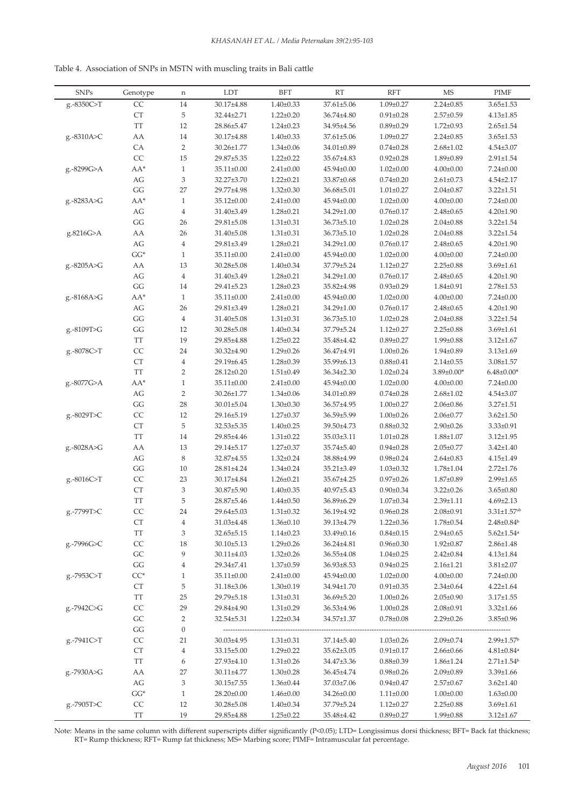| Table 4. Association of SNPs in MSTN with muscling traits in Bali cattle |  |
|--------------------------------------------------------------------------|--|
|--------------------------------------------------------------------------|--|

| <b>SNPs</b> | Genotype                 | n              | <b>LDT</b>       | <b>BFT</b>      | <b>RT</b>        | <b>RFT</b>      | <b>MS</b>        | <b>PIMF</b>                  |
|-------------|--------------------------|----------------|------------------|-----------------|------------------|-----------------|------------------|------------------------------|
| g.-8350C>T  | CC                       | 14             | 30.17±4.88       | $1.40 \pm 0.33$ | 37.61±5.06       | $1.09 \pm 0.27$ | $2.24 \pm 0.85$  | $3.65 \pm 1.53$              |
|             | <b>CT</b>                | 5              | 32.44±2.71       | $1.22 \pm 0.20$ | 36.74±4.80       | $0.91 \pm 0.28$ | $2.57 \pm 0.59$  | $4.13 \pm 1.85$              |
|             | <b>TT</b>                | 12             | 28.86±5.47       | $1.24 \pm 0.23$ | 34.95±4.56       | $0.89 \pm 0.29$ | $1.72 \pm 0.93$  | $2.65 \pm 1.54$              |
| g.-8310A>C  | AA                       | 14             | 30.17±4.88       | $1.40 \pm 0.33$ | 37.61±5.06       | $1.09 \pm 0.27$ | $2.24 \pm 0.85$  | $3.65 \pm 1.53$              |
|             | CA                       | $\overline{2}$ | 30.26±1.77       | $1.34 \pm 0.06$ | 34.01±0.89       | $0.74 \pm 0.28$ | $2.68 \pm 1.02$  | $4.54 \pm 3.07$              |
|             | CC                       | 15             | 29.87±5.35       | $1.22 \pm 0.22$ | 35.67±4.83       | $0.92 \pm 0.28$ | 1.89±0.89        | $2.91 \pm 1.54$              |
| g.-8299G>A  | $AA^*$                   | $\mathbf{1}$   | $35.11 \pm 0.00$ | $2.41 \pm 0.00$ | $45.94 \pm 0.00$ | $1.02 \pm 0.00$ | $4.00 \pm 0.00$  | $7.24 \pm 0.00$              |
|             | AG                       | 3              | 32.27±3.70       | $1.22 \pm 0.21$ | 33.87±0.68       | $0.74 \pm 0.20$ | $2.61 \pm 0.73$  | $4.54 \pm 2.17$              |
|             | GG                       | 27             | 29.77±4.98       | $1.32 \pm 0.30$ | 36.68±5.01       | $1.01 \pm 0.27$ | $2.04 \pm 0.87$  | $3.22 \pm 1.51$              |
| g.-8283A>G  | $AA^*$                   | $\mathbf{1}$   | 35.12±0.00       | $2.41 \pm 0.00$ | $45.94 \pm 0.00$ | $1.02 \pm 0.00$ | $4.00 \pm 0.00$  | $7.24 \pm 0.00$              |
|             | AG                       | $\overline{4}$ | 31.40±3.49       | $1.28 \pm 0.21$ | 34.29±1.00       | $0.76 \pm 0.17$ | $2.48 \pm 0.65$  | $4.20 \pm 1.90$              |
|             | GG                       | 26             | 29.81±5.08       | $1.31 \pm 0.31$ | $36.73 \pm 5.10$ | $1.02 \pm 0.28$ | $2.04 \pm 0.88$  | $3.22 \pm 1.54$              |
| g.8216G>A   | AA                       | $26\,$         | 31.40±5.08       | $1.31 \pm 0.31$ | $36.73 \pm 5.10$ | $1.02 \pm 0.28$ | $2.04 \pm 0.88$  | $3.22 \pm 1.54$              |
|             | AG                       | $\,4\,$        | 29.81±3.49       | $1.28 \pm 0.21$ | 34.29±1.00       | $0.76 \pm 0.17$ | $2.48 \pm 0.65$  | $4.20 \pm 1.90$              |
|             | $\mathbf{G}\mathbf{G}^*$ | $\mathbf{1}$   | 35.11±0.00       | $2.41 \pm 0.00$ | 45.94±0.00       | $1.02 \pm 0.00$ | $4.00 \pm 0.00$  | $7.24 \pm 0.00$              |
| g.-8205A>G  | AA                       | 13             | 30.28±5.08       | $1.40 \pm 0.34$ | 37.79±5.24       | $1.12 \pm 0.27$ | $2.25 \pm 0.88$  | $3.69 \pm 1.61$              |
|             | AG                       | $\,4\,$        | 31.40±3.49       | $1.28 \pm 0.21$ | 34.29±1.00       | $0.76 \pm 0.17$ | $2.48 \pm 0.65$  | $4.20 \pm 1.90$              |
|             | GG                       | 14             | 29.41±5.23       | $1.28 \pm 0.23$ | 35.82±4.98       | $0.93 \pm 0.29$ | $1.84 \pm 0.91$  | $2.78 \pm 1.53$              |
| g.-8168A>G  | $AA^*$                   | $\mathbf{1}$   | 35.11±0.00       | $2.41 \pm 0.00$ | 45.94±0.00       | $1.02 \pm 0.00$ | $4.00 \pm 0.00$  | $7.24 \pm 0.00$              |
|             | AG                       | 26             | 29.81±3.49       | $1.28 \pm 0.21$ | 34.29±1.00       | $0.76 \pm 0.17$ | $2.48 \pm 0.65$  | $4.20 \pm 1.90$              |
|             | $\mathbf{G}\mathbf{G}$   | $\,4$          | 31.40±5.08       | $1.31 \pm 0.31$ | $36.73 \pm 5.10$ | $1.02 \pm 0.28$ | $2.04 \pm 0.88$  | $3.22 \pm 1.54$              |
| g.-8109T>G  | $\mathbf{G}\mathbf{G}$   | 12             | 30.28±5.08       | $1.40 \pm 0.34$ | 37.79±5.24       | $1.12 \pm 0.27$ | $2.25 \pm 0.88$  | $3.69 \pm 1.61$              |
|             | $\operatorname{TT}$      | 19             | 29.85±4.88       | $1.25 \pm 0.22$ | 35.48±4.42       | $0.89 + 0.27$   | $1.99 \pm 0.88$  | $3.12 \pm 1.67$              |
| g.-8078C>T  | CC                       | 24             | 30.32±4.90       | $1.29 \pm 0.26$ | 36.47±4.91       | $1.00 \pm 0.26$ | $1.94 \pm 0.89$  | $3.13 \pm 1.69$              |
|             | <b>CT</b>                | $\overline{4}$ | 29.19±6.45       | $1.28 \pm 0.39$ | 35.99±6.13       | $0.88 \pm 0.41$ | $2.14 \pm 0.55$  | $3.08 \pm 1.57$              |
|             | <b>TT</b>                | $\overline{2}$ | 28.12±0.20       | $1.51 \pm 0.49$ | $36.34 \pm 2.30$ | $1.02 \pm 0.24$ | $3.89 \pm 0.00*$ | $6.48 \pm 0.00*$             |
| g.-8077G>A  | AA*                      | $\mathbf{1}$   | $35.11 \pm 0.00$ | $2.41 \pm 0.00$ | $45.94 \pm 0.00$ | $1.02 \pm 0.00$ | $4.00 \pm 0.00$  | $7.24 \pm 0.00$              |
|             | AG                       | $\sqrt{2}$     | 30.26±1.77       | $1.34 \pm 0.06$ | 34.01±0.89       | $0.74 \pm 0.28$ | $2.68 \pm 1.02$  | $4.54 \pm 3.07$              |
|             | GG                       | $28\,$         | $30.01 \pm 5.04$ | $1.30 \pm 0.30$ | 36.57±4.95       | $1.00 \pm 0.27$ | $2.06 \pm 0.86$  | $3.27 \pm 1.51$              |
| g.-8029T>C  | $\rm CC$                 | 12             | 29.16±5.19       | $1.27 \pm 0.37$ | 36.59±5.99       | $1.00 \pm 0.26$ | $2.06 \pm 0.77$  | $3.62 \pm 1.50$              |
|             | <b>CT</b>                | $\mathbf 5$    | 32.53±5.35       | $1.40 \pm 0.25$ | 39.50±4.73       | $0.88 + 0.32$   | $2.90 \pm 0.26$  | $3.33 \pm 0.91$              |
|             | <b>TT</b>                | 14             | 29.85±4.46       | $1.31 \pm 0.22$ | $35.03 \pm 3.11$ | $1.01 \pm 0.28$ | $1.88 \pm 1.07$  | $3.12 \pm 1.95$              |
| g.-8028A>G  | AA                       | 13             | 29.14±5.17       | $1.27 \pm 0.37$ | 35.74±5.40       | $0.94 \pm 0.28$ | $2.05 \pm 0.77$  | $3.42 \pm 1.40$              |
|             | AG                       | $\,$ 8 $\,$    | 32.87±4.55       | $1.32 \pm 0.24$ | 38.88±4.99       | $0.98 \pm 0.24$ | $2.64 \pm 0.83$  | $4.15 \pm 1.49$              |
|             | $\mathbf{G}\mathbf{G}$   | 10             | 28.81±4.24       | $1.34 \pm 0.24$ | 35.21±3.49       | $1.03 \pm 0.32$ | $1.78 \pm 1.04$  | $2.72 \pm 1.76$              |
| g.-8016C>T  | CC                       | 23             | 30.17±4.84       | $1.26 \pm 0.21$ | 35.67±4.25       | $0.97 \pm 0.26$ | $1.87 + 0.89$    | $2.99 \pm 1.65$              |
|             | ${\cal C}{\cal T}$       | 3              | 30.87±5.90       | $1.40 \pm 0.35$ | 40.97±5.43       | $0.90 \pm 0.34$ | $3.22 \pm 0.26$  | $3.65 \pm 0.80$              |
|             | <b>TT</b>                | 5              | 28.87±5.46       | $1.44 \pm 0.50$ | 36.89±6.29       | $1.07 \pm 0.34$ | $2.39 \pm 1.11$  | $4.69 \pm 2.13$              |
| g.-7799T>C  | CC                       | 24             | 29.64±5.03       | $1.31 \pm 0.32$ | 36.19±4.92       | $0.96 \pm 0.28$ | $2.08 \pm 0.91$  | $3.31{\pm}1.57^{\text{ab}}$  |
|             | CT                       | 4              | 31.03±4.48       | $1.36 \pm 0.10$ | 39.13±4.79       | $1.22 \pm 0.36$ | $1.78 \pm 0.54$  | $2.48 \pm 0.84$ <sup>b</sup> |
|             | TT                       | 3              | $32.65 \pm 5.15$ | $1.14 \pm 0.23$ | $33.49 \pm 0.16$ | $0.84 \pm 0.15$ | $2.94 \pm 0.65$  | $5.62 \pm 1.54$ <sup>a</sup> |
| g.-7996G>C  | CC                       | 18             | $30.10 \pm 5.13$ | $1.29 \pm 0.26$ | $36.24 \pm 4.81$ | $0.96 \pm 0.30$ | $1.92 \pm 0.87$  | $2.86 \pm 1.48$              |
|             | $\operatorname{GC}$      | 9              | $30.11 \pm 4.03$ | $1.32 \pm 0.26$ | $36.55 \pm 4.08$ | $1.04 \pm 0.25$ | $2.42 \pm 0.84$  | $4.13 \pm 1.84$              |
|             | $\mathbf{G}\mathbf{G}$   | 4              | 29.34±7.41       | $1.37 \pm 0.59$ | 36.93±8.53       | $0.94 \pm 0.25$ | $2.16 \pm 1.21$  | $3.81 \pm 2.07$              |
| g.-7953C>T  | $CC^*$                   | $\mathbf{1}$   | $35.11 \pm 0.00$ | $2.41 \pm 0.00$ | 45.94±0.00       | $1.02 \pm 0.00$ | $4.00 \pm 0.00$  | $7.24 \pm 0.00$              |
|             | CT                       | 5              | 31.18±3.06       | $1.30 \pm 0.19$ | 34.94±1.70       | $0.91 \pm 0.35$ | $2.34 \pm 0.64$  | $4.22 \pm 1.64$              |
|             | TT                       | 25             | 29.79±5.18       | $1.31 \pm 0.31$ | 36.69±5.20       | $1.00 \pm 0.26$ | $2.05 \pm 0.90$  | $3.17 \pm 1.55$              |
| g.-7942C>G  | CC                       | 29             | 29.84±4.90       | $1.31 \pm 0.29$ | $36.53 \pm 4.96$ | $1.00 \pm 0.28$ | $2.08 \pm 0.91$  | $3.32 \pm 1.66$              |
|             | $\operatorname{GC}$      | 2              | $32.54 \pm 5.31$ | $1.22 \pm 0.34$ | 34.57±1.37       | $0.78 \pm 0.08$ | $2.29 \pm 0.26$  | $3.85 \pm 0.96$              |
|             | GG                       | 0              |                  |                 |                  |                 |                  |                              |
| g.-7941C>T  | CC                       | 21             | 30.03±4.95       | $1.31 \pm 0.31$ | $37.14 \pm 5.40$ | $1.03 \pm 0.26$ | $2.09 \pm 0.74$  | $2.99 \pm 1.57$ <sup>b</sup> |
|             | <b>CT</b>                | 4              | $33.15 \pm 5.00$ | $1.29 \pm 0.22$ | $35.62{\pm}3.05$ | $0.91 \pm 0.17$ | $2.66 \pm 0.66$  | $4.81 \pm 0.84$ <sup>a</sup> |
|             | TT                       | 6              | 27.93±4.10       | $1.31 \pm 0.26$ | 34.47±3.36       | $0.88 \pm 0.39$ | $1.86 \pm 1.24$  | $2.71 \pm 1.54$ <sup>b</sup> |
| g.-7930A>G  | AA                       | 27             | 30.11±4.77       | $1.30 \pm 0.28$ | 36.45±4.74       | $0.98 \pm 0.26$ | $2.09 \pm 0.89$  | $3.39 \pm 1.66$              |
|             | AG                       | 3              | $30.15 \pm 7.55$ | $1.36 \pm 0.44$ | $37.03 \pm 7.06$ | $0.94 \pm 0.47$ | $2.57 \pm 0.67$  | $3.62 \pm 1.40$              |
|             | $GG*$                    | 1              | $28.20 \pm 0.00$ | $1.46 \pm 0.00$ | $34.26 \pm 0.00$ | $1.11 \pm 0.00$ | $1.00 \pm 0.00$  | $1.63 \pm 0.00$              |
| g.-7905T>C  | CC                       | 12             | $30.28 \pm 5.08$ | $1.40 \pm 0.34$ | 37.79±5.24       | $1.12 \pm 0.27$ | $2.25 \pm 0.88$  | $3.69 \pm 1.61$              |
|             | TT                       | 19             | 29.85±4.88       | $1.25 \pm 0.22$ | 35.48±4.42       | $0.89 \pm 0.27$ | $1.99 \pm 0.88$  | $3.12 \pm 1.67$              |

Note: Means in the same column with different superscripts differ significantly (P<0.05); LTD= Longissimus dorsi thickness; BFT= Back fat thickness; RT= Rump thickness; RFT= Rump fat thickness; MS= Marbing score; PIMF= Intramuscular fat percentage.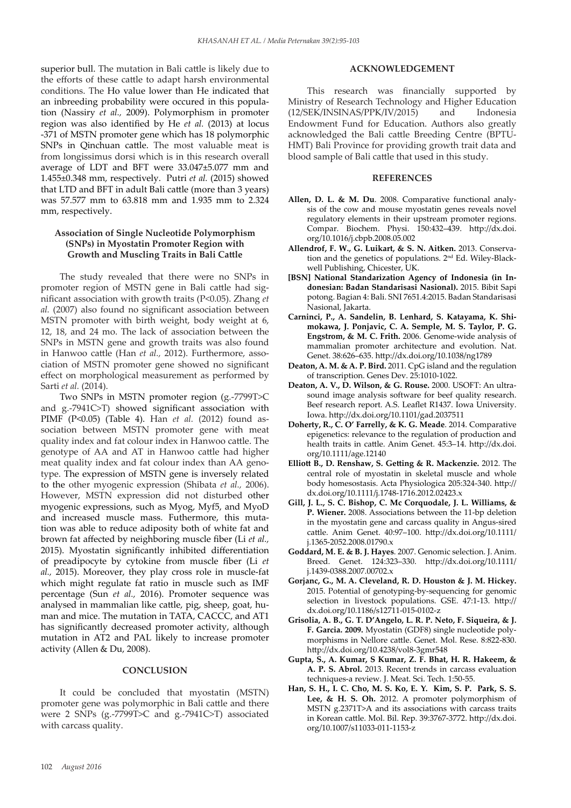superior bull. The mutation in Bali cattle is likely due to the efforts of these cattle to adapt harsh environmental conditions. The Ho value lower than He indicated that an inbreeding probability were occured in this population (Nassiry *et al.,* 2009). Polymorphism in promoter region was also identified by He *et al.* (2013) at locus -371 of MSTN promoter gene which has 18 polymorphic SNPs in Qinchuan cattle. The most valuable meat is from longissimus dorsi which is in this research overall average of LDT and BFT were 33.047±5.077 mm and 1.455±0.348 mm, respectively. Putri *et al.* (2015) showed that LTD and BFT in adult Bali cattle (more than 3 years) was 57.577 mm to 63.818 mm and 1.935 mm to 2.324 mm, respectively.

## **Association of Single Nucleotide Polymorphism (SNPs) in Myostatin Promoter Region with Growth and Muscling Traits in Bali Cattle**

The study revealed that there were no SNPs in promoter region of MSTN gene in Bali cattle had significant association with growth traits (P<0.05). Zhang *et al.* (2007) also found no significant association between MSTN promoter with birth weight, body weight at 6, 12, 18, and 24 mo. The lack of association between the SNPs in MSTN gene and growth traits was also found in Hanwoo cattle (Han *et al.,* 2012). Furthermore, association of MSTN promoter gene showed no significant effect on morphological measurement as performed by Sarti *et al.* (2014).

Two SNPs in MSTN promoter region (g.-7799T>C and g.-7941C>T) showed significant association with PIMF (P<0.05) (Table 4). Han *et al.* (2012) found association between MSTN promoter gene with meat quality index and fat colour index in Hanwoo cattle. The genotype of AA and AT in Hanwoo cattle had higher meat quality index and fat colour index than AA genotype. The expression of MSTN gene is inversely related to the other myogenic expression (Shibata *et al.,* 2006). However, MSTN expression did not disturbed other myogenic expressions, such as Myog, Myf5, and MyoD and increased muscle mass. Futhermore, this mutation was able to reduce adiposity both of white fat and brown fat affected by neighboring muscle fiber (Li *et al.,*  2015). Myostatin significantly inhibited differentiation of preadipocyte by cytokine from muscle fiber (Li *et al.,* 2015). Moreover, they play cross role in muscle-fat which might regulate fat ratio in muscle such as IMF percentage (Sun *et al.,* 2016). Promoter sequence was analysed in mammalian like cattle, pig, sheep, goat, human and mice. The mutation in TATA, CACCC, and AT1 has significantly decreased promoter activity, although mutation in AT2 and PAL likely to increase promoter activity (Allen & Du, 2008).

#### **CONCLUSION**

It could be concluded that myostatin (MSTN) promoter gene was polymorphic in Bali cattle and there were 2 SNPs (g.-7799T>C and g.-7941C>T) associated with carcass quality.

## **ACKNOWLEDGEMENT**

This research was financially supported by Ministry of Research Technology and Higher Education (12/SEK/INSINAS/PPK/IV/2015) and Indonesia Endowment Fund for Education. Authors also greatly acknowledged the Bali cattle Breeding Centre (BPTU-HMT) Bali Province for providing growth trait data and blood sample of Bali cattle that used in this study.

#### **REFERENCES**

- **Allen, D. L. & M. Du**. 2008. Comparative functional analysis of the cow and mouse myostatin genes reveals novel regulatory elements in their upstream promoter regions. Compar. Biochem. Physi. 150:432–439. http://dx.doi. org/10.1016/j.cbpb.2008.05.002
- **Allendrof, F. W., G. Luikart, & S. N. Aitken.** 2013. Conservation and the genetics of populations. 2nd Ed. Wiley-Blackwell Publishing, Chicester, UK.
- **[BSN] National Standarization Agency of Indonesia (in Indonesian: Badan Standarisasi Nasional).** 2015. Bibit Sapi potong. Bagian 4: Bali. SNI 7651.4:2015. Badan Standarisasi Nasional, Jakarta.
- **Carninci, P., A. Sandelin, B. Lenhard, S. Katayama, K. Shimokawa, J. Ponjavic, C. A. Semple, M. S. Taylor, P. G. Engstrom, & M. C. Frith.** 2006. Genome-wide analysis of mammalian promoter architecture and evolution. Nat. Genet. 38:626–635. http://dx.doi.org/10.1038/ng1789
- **Deaton, A. M. & A. P. Bird.** 2011. CpG island and the regulation of transcription. Genes Dev. 25:1010-1022.
- **Deaton, A. V., D. Wilson, & G. Rouse.** 2000. USOFT: An ultrasound image analysis software for beef quality research. Beef research report. A.S. Leaflet R1437. Iowa University. Iowa. http://dx.doi.org/10.1101/gad.2037511
- **Doherty, R., C. O' Farrelly, & K. G. Meade**. 2014. Comparative epigenetics: relevance to the regulation of production and health traits in cattle. Anim Genet. 45:3–14. http://dx.doi. org/10.1111/age.12140
- **Elliott B., D. Renshaw, S. Getting & R. Mackenzie.** 2012. The central role of myostatin in skeletal muscle and whole body homesostasis. Acta Physiologica 205:324-340. http:// dx.doi.org/10.1111/j.1748-1716.2012.02423.x
- **Gill, J. L., S. C. Bishop, C. Mc Corquodale, J. L. Williams, & P. Wiener.** 2008. Associations between the 11-bp deletion in the myostatin gene and carcass quality in Angus-sired cattle. Anim Genet. 40:97–100. http://dx.doi.org/10.1111/ j.1365-2052.2008.01790.x
- **Goddard, M. E. & B. J. Hayes**. 2007. Genomic selection. J. Anim. Breed. Genet. 124:323–330. http://dx.doi.org/10.1111/ j.1439-0388.2007.00702.x
- **Gorjanc, G., M. A. Cleveland, R. D. Houston & J. M. Hickey.** 2015. Potential of genotyping-by-sequencing for genomic selection in livestock populations. GSE. 47:1-13. http:// dx.doi.org/10.1186/s12711-015-0102-z
- **Grisolia, A. B., G. T. D'Angelo, L. R. P. Neto, F. Siqueira, & J. F. Garcia. 2009.** Myostatin (GDF8) single nucleotide polymorphisms in Nellore cattle. Genet. Mol. Rese. 8:822-830. http://dx.doi.org/10.4238/vol8-3gmr548
- **Gupta, S., A. Kumar, S Kumar, Z. F. Bhat, H. R. Hakeem, & A. P. S. Abrol.** 2013. Recent trends in carcass evaluation techniques-a review. J. Meat. Sci. Tech. 1:50-55.
- **Han, S. H., I. C. Cho, M. S. Ko, E. Y. Kim, S. P. Park, S. S. Lee, & H. S. Oh.** 2012. A promoter polymorphism of MSTN g.2371T>A and its associations with carcass traits in Korean cattle. Mol. Bil. Rep*.* 39:3767-3772. http://dx.doi. org/10.1007/s11033-011-1153-z